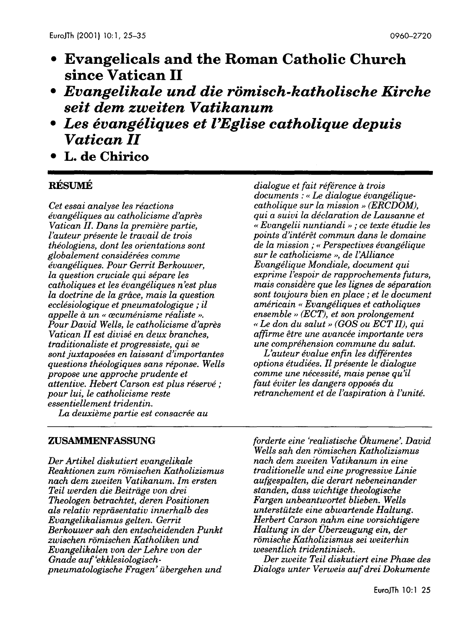- **Evangelicals and the Roman Catholic Church since Vatican 11**
- *Evangelikale und die romisch-katholische Kirche seit dem zweiten Vatikanum*
- *Les evangeliques et l'Eglise catholique depuis*  **Vatican** *II*
- **L. de Chirico**

# **RÉSUMÉ**

*Cet essai analyse les reactions evangeliques au catholicisme d'apres Vatican 11. Dans la premiere partie, l'auteur presente le travail de trois theologiens, dont les orientations sont globalement considerees comme evangeliques. Pour Gerrit Berkouwer, la question cruciale qui separe les catholiques et les evangeliques n'est plus la doctrine de la grace, mais la question ecclesiologique et pneumatologique* ; *il appelle a un (( recumenisme realiste* ». *Pour David Wells, le catholicisme d'apres Vatican 11 est divise en deux branches, traditionaliste et progressiste, qui se sont juxtaposees en laissant d'importantes questions theologiques sans reponse. Wells propose une approche prudente et attentive. Hebert Carson est plus reserve* ; *pour lui, le catholicisme reste essentiellement tridentin.* 

*dialogue et fait reference a trois documents : << Le dialogue evangeliquecatholique sur la mission* » *(ERCDOM), qui a suivi la declaration de Lausanne et << Evangelii nuntiandi* » ; *ce texte etudie les points d'interet commun dans le domaine de la mission* ; *<< Perspectives evangelique sur le catholicisme* », *de l'Alliance Evangelique Mondiale, document qui exprime l'espoir de rapprochements futurs, mais considere que les lignes de separation sont toujours bien en place* ; *et le document americain << Evangeliques et catholiques ensemble* >> *(ECT), et son prolongement <<Le don du salut* >> *(GOS ou ECT Il), qui affirme etre une avancee importante vers une comprehension commune du salut.* 

*L'auteur evalue enfin les differentes options etudiees. 11 presente le dialogue comme une necessite, mais pense qu'il {aut eviter les dangers opposes du retranchement et de l'aspiration a l'unite.* 

*La deuxieme partie est consacree au* 

### **ZUSAMMENFASSUNG**

*Der Artikel diskutiert evangelikale Reaktionen zum romischen Katholizismus nach dem zweiten Vatikanum. 1m ersten Teil werden die Beitriige von drei Theologen betrachtet, deren Positionen als relativ repriisentativ innerhalb des Evangelikalismus gelten. Gerrit Berkouwer sah den entscheidenden Punkt zwischen romischen Katholiken und Evangelikalen von der Lehre von der Gnade auf 'ekklesiologischpneumatologische Fragen' ilbergehen und* 

*forderte eine 'realistische Okumene'. David Wells sah den romischen Katholizismus nach dem zweiten Vatikanum in eine traditionelle und eine progressive Linie aufgespalten, die derart nebeneinander standen, dass wichtige theologische Fargen unbeantwortet blieben. Wells unterstiltzte eine abwartende Haltung. Herbert Carson nahm eine vorsichtigere Haltung in der Uberzeugung ein, der romische Katholizismus sei weiterhin wesentlich tridentinisch.* 

*Der zweite Teil diskutiert eine Phase des Dialogs unter Verweis auf drei Dokumente*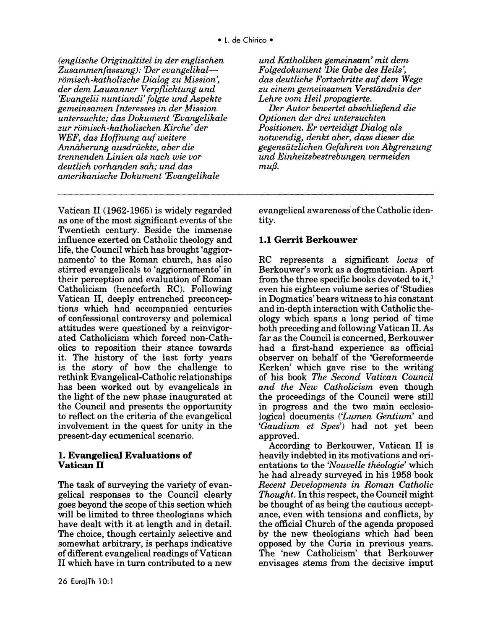*(englische Originaltitel in der englischen Zusammenfassung): 'Der evangelikalromisch-katholische Dialog zu Mission', der dem Lausanner Verpflichtung und 'Evangelii nuntiandi' folgte und Aspekte gemeinsamen lnteresses in der Mission untersuchte; das Dokument 'Evangelikale zur romisch-katholischen Kirche' der WEF, das Hoffnung auf weitere Anniiherung ausdriickte, aber die trennenden Linien als nach wie vor deutlich vorhanden sah; und das amerikanische Dokument 'Evangelikale* 

Vatican **11** (1962-1965) is widely regarded as one of the most significant events of the Twentieth century. Beside the immense influence exerted on Catholic theology and life, the Council which has brought 'aggiornamento' to the Roman church, has also stirred evangelicals to 'aggiornamento' in their perception and evaluation of Roman Catholicism (henceforth RC). Following Vatican **11,** deeply entrenched preconceptions which had accompanied centuries of confessional controversy and polemical attitudes were questioned by a reinvigorated Catholicism which forced non-Catholics to reposition their stance towards it. The history of the last forty years is the story of how the challenge to rethink Evangelical-Catholic relationships has been worked out by evangelicals in the light of the new phase inaugurated at the Council and presents the opportunity to reflect on the criteria of the evangelical involvement in the quest for unity in the present-day ecumenical scenario.

#### **1. Evangelical Evaluations of Vatican II**

The task of surveying the variety of evangelical responses to the Council clearly goes beyond the scope of this section which will be limited to three theologians which have dealt with it at length and in detail. The choice, though certainly selective and somewhat arbitrary, is perhaps indicative of different evangelical readings ofVatican **11** which have in turn contributed to a new

*und Katholiken gemeinsam' mit dem Folgedokument 'Die Gabe des Heils', das deutliche Fortschritte auf dem Wege zu einem gemeinsamen Verstiindnis der Lehre vom Heil propagierte.* 

*Der Autor bewertet abschlie{Jend die Optionen der drei untersuchten Positionen. Er verteidigt Dialog als notwendig, denkt aber, dass dieser die gegensiitzlichen Gefahren von Abgrenzung und Einheitsbestrebungen vermeiden*   $mu\$ 

evangelical awareness of the Catholic identity.

## **1.1 Gerrit Berkouwer**

RC represents a significant *locus* of Berkouwer's work as a dogmatician. Apart from the three specific books devoted to it,<sup>1</sup> even his eighteen volume series of'Studies in Dogmatics' bears witness to his constant and in-depth interaction with Catholic theology which spans a long period of time both preceding and following Vatican **11.** As far as the Council is concerned, Berkouwer had a first-hand experience as official observer on behalf of the 'Gereformeerde Kerken' which gave rise to the writing of his book *The Second Vatican Council and the New Catholicism* even though the proceedings of the Council were still in progress and the two main ecclesiological documents *('Lumen Gentium'* and *'Gaudium et Spes')* had not yet been approved.

According to Berkouwer, Vatican **11** is heavily indebted in its motivations and orientations to the *'Nouvelle theologie'* which he had already surveyed in his 1958 book *Recent Developments in Roman Catholic Thought.* In this respect, the Council might be thought of as being the cautious acceptance, even with tensions and conflicts, by the official Church of the agenda proposed by the new theologians which had been opposed by the Curia in previous years. The 'new Catholicism' that Berkouwer envisages stems from the decisive imput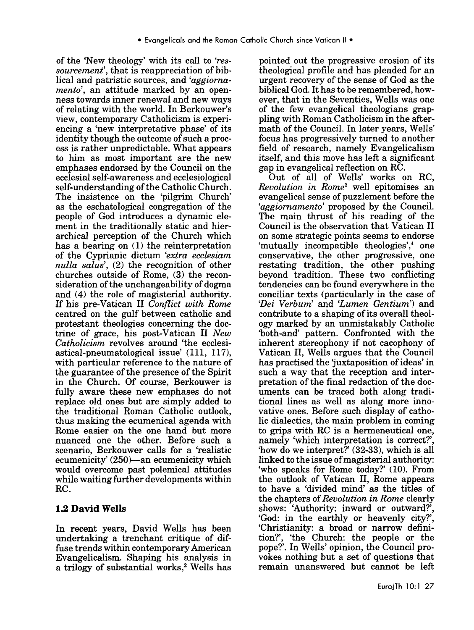of the 'New theology' with its call to *'ressourcement',* that is reappreciation of biblical and patristic sources, and *'aggiornamento',* an attitude marked by an openness towards inner renewal and new ways of relating with the world. In Berkouwer's view, contemporary Catholicism is experiencing a 'new interpretative phase' of its identity though the outcome of such a process is rather unpredictable. What appears to him as most important are the new emphases endorsed by the Council on the ecclesial self-awareness and ecclesiological self-understanding of the Catholic Church. The insistence on the 'pilgrim Church' as the eschatological congregation of the people of God introduces a dynamic element in the traditionally static and hierarchical perception of the Church which has a bearing on (1) the reinterpretation of the Cyprianic dictum *'extra ecclesiam nulla salus',* (2) the recognition of other churches outside of Rome, (3) the reconsideration of the unchangeability of dogma and (4) the role of magisterial authority. If his pre-Vatican 11 *Conflict with Rome*  centred on the gulf between catholic and protestant theologies concerning the doctrine of grace, his post-Vatican 11 *New Catholicism* revolves around 'the ecclesiastical-pneumatological issue' (111, 117), with particular reference to the nature of the guarantee of the presence of the Spirit in the Church. Of course, Berkouwer is fully aware these new emphases do not replace old ones but are simply added to the traditional Roman Catholic outlook, thus making the ecumenical agenda with Rome easier on the one hand but more nuanced one the other. Before such a scenario, Berkouwer calls for a 'realistic ecumenicity' (250)-an ecumenicity which would overcome past polemical attitudes while waiting further developments within RC.

### **1.2 David Wells**

In recent years, David Wells has been undertaking a trenchant critique of diffuse trends within contemporary American Evangelicalism. Shaping his analysis in a trilogy of substantial works,<sup>2</sup> Wells has pointed out the progressive erosion of its theological profile and has pleaded for an urgent recovery of the sense of God as the biblical God. It has to be remembered, however, that in the Seventies, Wells was one of the few evangelical theologians grappling with Roman Catholicism in the aftermath of the Council. In later years, Wells' focus has progressively turned to another field of research, namely Evangelicalism itself, and this move has left a significant gap in evangelical reflection on RC.

Out of all of Wells' works on RC, *Revolution in Rome3* well epitomises an evangelical sense of puzzlement before the *'aggiornamento'* proposed by the Council. The main thrust of his reading of the Council is the observation that Vatican 11 on some strategic points seems to endorse 'mutually incompatible theologies',<sup>4</sup> one conservative, the other progressive, one restating tradition, the other pushing beyond tradition. These two conflicting tendencies can be found everywhere in the conciliar texts (particularly in the case of *'Dei Verbum'* and *'Lumen Gentium')* and contribute to a shaping of its overall theology marked by an unmistakably Catholic 'both-and' pattern. Confronted with the inherent stereophony if not cacophony of Vatican 11, Wells argues that the Council has practised the juxtaposition of ideas' in such a way that the reception and interpretation of the final redaction of the documents can be traced both along traditional lines as well as along more innovative ones. Before such display of catholic dialectics, the main problem in coming to grips with RC is a hermeneutical one, namely 'which interpretation is correct?', 'how do we interpret?' (32-33), which is all linked to the issue of magisterial authority: 'who speaks for Rome today?' (10). From the outlook of Vatican 11, Rome appears to have a 'divided mind' as the titles of the chapters of *Revolution in Rome* clearly shows: 'Authority: inward or outward?', 'God: in the earthly or heavenly city?', 'Christianity: a broad or narrow definition?', 'the Church: the people or the pope?'. In Wells' opinion, the Council provokes nothing but a set of questions that remain unanswered but cannot be left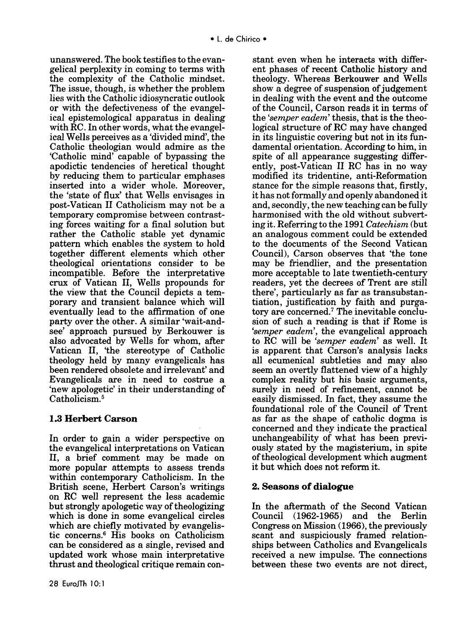unanswered. The book testifies to the evangelical perplexity in coming to terms with the complexity of the Catholic mindset. The issue, though, is whether the problem lies with the Catholic idiosyncratic outlook or with the defectiveness of the evangelical epistemological apparatus in dealing with RC. In other words, what the evangelical Wells perceives as a 'divided mind', the Catholic theologian would admire as the 'Catholic mind' capable of bypassing the apodictic tendencies of heretical thought by reducing them to particular emphases inserted into a wider whole. Moreover, the 'state of flux' that Wells envisages in post-Vatican 11 Catholicism may not be a temporary compromise between contrasting forces waiting for a final solution but rather the Catholic stable yet dynamic pattern which enables the system to hold together different elements which other theological orientations consider to be incompatible. Before the interpretative crux of Vatican **11,** Wells propounds for the view that the Council depicts a temporary and transient balance which will eventually lead to the affirmation of one party over the other. A similar 'wait-andsee' approach pursued by Berkouwer is also advocated by Wells for whom, after Vatican **11,** 'the stereotype of Catholic theology held by many evangelicals has been rendered obsolete and irrelevant' and Evangelicals are in need to costrue a 'new apologetic' in their understanding of Catholicism.<sup>5</sup>

## **1.3 Herbert Carson**

In order to gain a wider perspective on the evangelical interpretations on Vatican **11,** a brief comment may be made on more popular attempts to assess trends within contemporary Catholicism. In the British scene, Herbert Carson's writings on RC well represent the less academic but strongly apologetic way of theologizing which is done in some evangelical circles which are chiefly motivated by evangelistic concerns.6 His books on Catholicism can be considered as a single, revised and updated work whose main interpretative thrust and theological critique remain con-

stant even when he interacts with different phases of recent Catholic history and theology. Whereas Berkouwer and Wells show a degree of suspension of judgement in dealing with the event and the outcome of the Council, Carson reads it in terms of the *'semper eadem'* thesis, that is the theological structure of RC may have changed in its linguistic covering but not in its fundamental orientation. According to him, in spite of all appearance suggesting differently, post-Vatican **11** RC has in no way modified its tridentine, anti-Reformation stance for the simple reasons that, firstly, it has not formally and openly abandoned it and, secondly, the new teaching can be fully harmonised with the old without subverting it. Referring to the 1991 *Catechism* (but an analogous comment could be extended to the documents of the Second Vatican Council), Carson observes that 'the tone may be friendlier, and the presentation more acceptable to late twentieth-century readers, yet the decrees of Trent are still there', particularly as far as transubstantiation, justification by faith and purgatory are concerned.7 The inevitable conclusion of such a reading is that if Rome is *'semper eadem',* the evangelical approach to RC will be *'semper eadem'* as well. It is apparent that Carson's analysis lacks all ecumenical subtleties and may also seem an overtly flattened view of a highly complex reality but his basic arguments, surely in need of refinement, cannot be easily dismissed. In fact, they assume the foundational role of the Council of Trent as far as the shape of catholic dogma is concerned and they indicate the practical unchangeability of what has been previously stated by the magisterium, in spite of theological development which augment it but which does not reform it.

## **2. Seasons of dialogue**

In the aftermath of the Second Vatican Council (1962-1965) and the Berlin Congress on Mission (1966}, the previously scant and suspiciously framed relationships between Catholics and Evangelicals received a new impulse. The connections between these two events are not direct,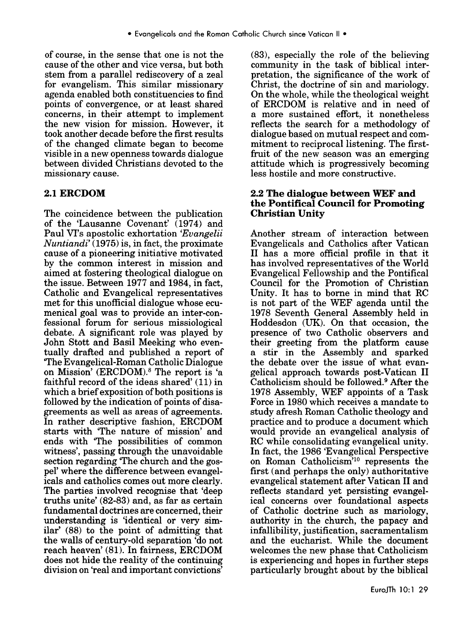of course, in the sense that one is not the cause of the other and vice versa, but both stem from a parallel rediscovery of a zeal for evangelism. This similar missionary agenda enabled both constituencies to find points of convergence, or at least shared concerns, in their attempt to implement the new vision for mission. However, it took another decade before the first results of the changed climate began to become visible in a new openness towards dialogue between divided Christians devoted to the missionary cause.

## **2.1ERCDOM**

The coincidence between the publication of the 'Lausanne Covenant' (1974) and Paul VI's apostolic exhortation *'Evangelii Nuntiandi'* (1975) is, in fact, the proximate cause of a pioneering initiative motivated by the common interest in mission and aimed at fostering theological dialogue on the issue. Between 1977 and 1984, in fact, Catholic and Evangelical representatives met for this unofficial dialogue whose ecumenical goal was to provide an inter-confessional forum for serious missiological debate. A significant role was played by John Stott and Basil Meeking who eventually drafted and published a report of 'The Evangelical-Roman Catholic Dialogue on Mission' (ERCDOM).8 The report is 'a faithful record of the ideas shared' (11) in which a brief exposition of both positions is followed by the indication of points of disagreements as well as areas of agreements. In rather descriptive fashion, ERCDOM starts with 'The nature of mission' and ends with 'The possibilities of common witness', passing through the unavoidable section regarding 'The church and the gospel' where the difference between evangelicals and catholics comes out more clearly. The parties involved recognise that 'deep truths unite' (82-83) and, as far as certain fundamental doctrines are concerned, their understanding is 'identical or very similar' (88) to the point of admitting that the walls of century-old separation 'do not reach heaven' (81). In fairness, ERCDOM does not hide the reality of the continuing division on 'real and important convictions'

(83), especially the role of the believing community in the task of biblical interpretation, the significance of the work of Christ, the doctrine of sin and mariology. On the whole, while the theological weight of ERCDOM is relative and in need of a more sustained effort, it nonetheless reflects the search for a methodology of dialogue based on mutual respect and commitment to reciprocal listening. The firstfruit of the new season was an emerging attitude which is progressively becoming less hostile and more constructive.

#### **2.2 The dialogue between WEF and the Pontifical Council for Promoting Christian Unity**

Another stream of interaction between Evangelicals and Catholics after Vatican 11 has a more official profile in that it has involved representatives of the World Evangelical Fellowship and the Pontifical Council for the Promotion of Christian Unity. It has to borne in mind that RC is not part of the WEF agenda until the 1978 Seventh General Assembly held in Hoddesdon (UK). On that occasion, the presence of two Catholic observers and their greeting from the platform cause a stir in the Assembly and sparked the debate over the issue of what evangelical approach towards post-Vatican **11**  Catholicism should be followed.<sup>9</sup> After the 1978 Assembly, WEF appoints of a Task Force in 1980 which receives a mandate to study afresh Roman Catholic theology and practice and to produce a document which would provide an evangelical analysis of RC while consolidating evangelical unity. In fact, the 1986 'Evangelical Perspective on Roman Catholicism'10 represents the first (and perhaps the only) authoritative evangelical statement after Vatican **11** and reflects standard yet persisting evangelical concerns over foundational aspects of Catholic doctrine such as mariology, authority in the church, the papacy and infallibility, justification, sacramentalism and the eucharist. While the document welcomes the new phase that Catholicism is experiencing and hopes in further steps particularly brought about by the biblical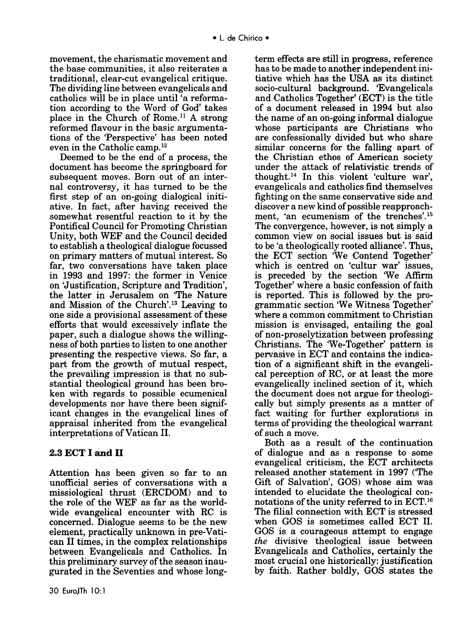movement, the charismatic movement and the base communities, it also reiterates a traditional, clear-cut evangelical critique. The dividing line between evangelicals and catholics will be in place until 'a reformation according to the Word of God' takes place in the Church of Rome.<sup>11</sup> A strong reformed flavour in the basic argumentations of the 'Perspective' has been noted even in the Catholic camp. 12

Deemed to be the end of a process, the document has become the springboard for subsequent moves. Born out of an internal controversy, it has turned to be the first step of an on-going dialogical initiative. In fact, after having received the somewhat resentful reaction to it by the Pontifical Council for Promoting Christian Unity, both WEF and the Council decided to establish a theological dialogue focussed on primary matters of mutual interest. So far, two conversations have taken place in 1993 and 1997: the former in Venice on 'Justification, Scripture and Tradition', the latter in Jerusalem on 'The Nature and Mission of the Church'. 13 Leaving to one side a provisional assessment of these efforts that would excessively inflate the paper, such a dialogue shows the willingness of both parties to listen to one another presenting the respective views. So far, a part from the growth of mutual respect, the prevailing impression is that no substantial theological ground has been broken with regards to possible ecumenical developments nor have there been significant changes in the evangelical lines of appraisal inherited from the evangelical interpretations of Vatican II.

## 2.3 **ECT I and 11**

Attention has been given so far to an unofficial series of conversations with a missiological thrust (ERCDOM) and to the role of the WEF as far as the worldwide evangelical encounter with RC is concerned. Dialogue seems to be the new element, practically unknown in pre-Vatican 11 times, in the complex relationships between Evangelicals and Catholics. In this preliminary survey of the season inaugurated in the Seventies and whose longterm effects are still in progress, reference has to be made to another independent initiative which has the USA as its distinct socio-cultural background. 'Evangelicals and Catholics Together' (ECT) is the title of a document released in 1994 but also the name of an on-going informal dialogue whose participants are Christians who are confessionally divided but who share similar concerns for the falling apart of the Christian ethos of American society under the attack of relativistic trends of thought. 14 In this violent 'culture war', evangelicals and catholics find themselves fighting on the same conservative side and discover a new kind of possible reapproachment, 'an ecumenism of the trenches'.<sup>15</sup> The convergence, however, is not simply a common view on social issues but is said to be 'a theologically rooted alliance'. Thus, the ECT section 'We Contend Together' which is centred on 'cultur war' issues, is preceded by the section 'We Affirm Together' where a basic confession of faith is reported. This is followed by the programmatic section 'We Witness Together' where a common commitment to Christian mission is envisaged, entailing the goal of non-proselytization between professing Christians. The 'We-Together' pattern is pervasive in ECT and contains the indication of a significant shift in the evangelical perception of RC, or at least the more evangelically inclined section of it, which the document does not argue for theologically but simply presents as a matter of fact waiting for further explorations in terms of providing the theological warrant of such a move.

Both as a result of the continuation of dialogue and as a response to some evangelical criticism, the ECT architects released another statement in 1997 ('The Gift of Salvation', GOS) whose aim was intended to elucidate the theological connotations of the unity referred to in ECT. <sup>16</sup> The filial connection with ECT is stressed when GOS is sometimes called ECT Il. GOS is a courageous attempt to engage *the* divisive theological issue between Evangelicals and Catholics, certainly the most crucial one historically: justification by faith. Rather boldly, GOS states the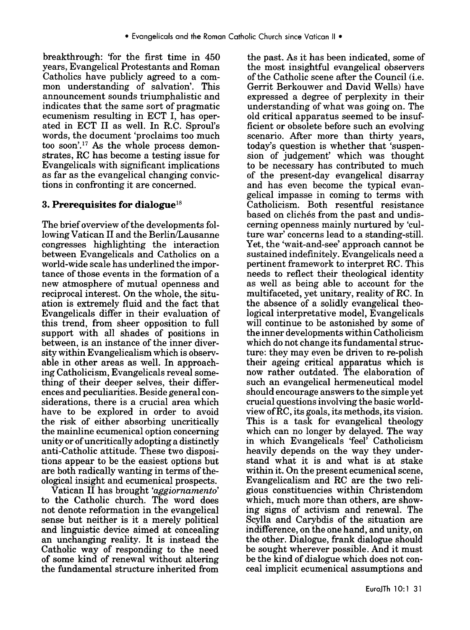breakthrough: 'for the first time in 450 years, Evangelical Protestants and Roman Catholics have publicly agreed to a common understanding of salvation'. This announcement sounds triumphalistic and indicates that the same sort of pragmatic ecumenism resulting in ECT I, has operated in ECT 11 as well. In R.C. Sproul's words, the document 'proclaims too much too soon'.<sup>17</sup> As the whole process demonstrates, RC has become a testing issue for Evangelicals with significant implications as far as the evangelical changing convictions in confronting it are concerned.

## **3. Prerequisites for dialogue18**

The brief overview of the developments following Vatican 11 and the Berlin/Lausanne congresses highlighting the interaction between Evangelicals and Catholics on a world-wide scale has underlined the importance of those events in the formation of a new atmosphere of mutual openness and reciprocal interest. On the whole, the situation is extremely fluid and the fact that Evangelicals differ in their evaluation of this trend, from sheer opposition to full support with all shades of positions in between, is an instance of the inner diversity within Evangelicalism which is observable in other areas as well. In approaching Catholicism, Evangelicals reveal something of their deeper selves, their differences and peculiarities. Beside general considerations, there is a crucial area which have to be explored in order to avoid the risk of either absorbing uncritically the mainline ecumenical option concerning unity or of uncritically adopting a distinctly anti-Catholic attitude. These two dispositions appear to be the easiest options but are both radically wanting in terms of theological insight and ecumenical prospects.

Vatican 11 has brought *'aggiornamento'*  to the Catholic church. The word does not denote reformation in the evangelical sense but neither is it a merely political and linguistic device aimed at concealing an unchanging reality. It is instead the Catholic way of responding to the need of some kind of renewal without altering the fundamental structure inherited from

the past. As it has been indicated, some of the most insightful evangelical observers of the Catholic scene after the Council (i.e. Gerrit Berkouwer and David Wells) have expressed a degree of perplexity in their understanding of what was going on. The old critical apparatus seemed to be insufficient or obsolete before such an evolving scenario. After more than thirty years, today's question is whether that 'suspension of judgement' which was thought to be necessary has contributed to much of the present-day evangelical disarray and has even become the typical evangelical impasse in coming to terms with Catholicism. Both resentful resistance based on clichés from the past and undiscerning openness mainly nurtured by 'culture war' concerns lead to a standing-still. Yet, the 'wait-and-see' approach cannot be sustained indefinitely. Evangelicals need a pertinent framework to interpret RC. This needs to reflect their theological identity as well as being able to account for the multifaceted, yet unitary, reality of RC. In the absence of a solidly evangelical theological interpretative model, Evangelicals will continue to be astonished by some of the inner developments within Catholicism which do not change its fundamental structure: they may even be driven to re-polish their ageing critical apparatus which is now rather outdated. The elaboration of such an evangelical hermeneutical model should encourage answers to the simple yet crucial questions involving the basic worldview of RC, its goals, its methods, its vision. This is a task for evangelical theology which can no longer by delayed. The way in which Evangelicals 'feel' Catholicism heavily depends on the way they understand what it is and what is at stake within it. On the present ecumenical scene, Evangelicalism and RC are the two religious constituencies within Christendom which, much more than others, are showing signs of activism and renewal. The Scylla and Carybdis of the situation are indifference, on the one hand, and unity, on the other. Dialogue, frank dialogue should be sought wherever possible. And it must be the kind of dialogue which does not conceal implicit ecumenical assumptions and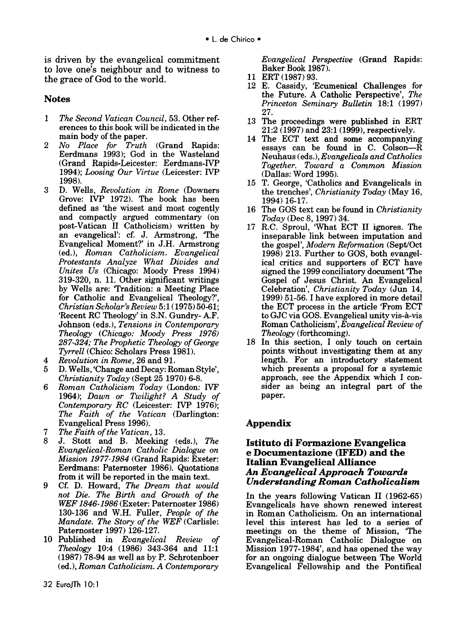is driven by the evangelical commitment to love one's neighbour and to witness to the grace of God to the world.

### **Notes**

- 1 *The Second Vatican Council,* 53. Other references to this book will be indicated in the main body of the paper.
- 2 *No Place for Truth* (Grand Rapids: Eerdmans 1993); God in the Wasteland (Grand Rapids-Leicester: Eerdmans-IVP 1994); *Loosing Our Virtue* (Leicester: IVP 1998).
- 3 D. Wells, *Revolution in Rome* (Downers Grove: IVP 1972). The book has been defined as 'the wisest and most cogently and compactly argued commentary (on post-Vatican II Catholicism) written by an evangelical': cf. J. Armstrong, 'The Evangelical Moment?' in J.H. Armstrong (ed.), *Roman Catholicism. Evangelical Protestants Analyze What Divides and Unites Us* (Chicago: Moody Press 1994) 319-320, n. 11. Other significant writings by Wells are: 'Tradition: a Meeting Place for Catholic and Evangelical Theology?', *Christian Scholar's Review* 5:1 (1975) 50-61; 'Recent RC Theology' in S.N. Gundry- A.F. Johnson (eds.), *Tensions in Contemporary Theology (Chicago: Moody Press 1976) 287-324; The Prophetic Theology of George Tyrrell* (Chico: Scholars Press 1981).
- 4 *Revolution in Rome,* 26 and 91.
- 5 D. Wells, 'Change and Decay: Roman Style', *Christianity Today* (Sept 25 1970) 6-8.
- 6 *Roman Catholicism Today* (London: IVF 1964); *Dawn or Twilight? A Study of Contemporary RC* (Leicester: IVP 1976); *The Faith of the Vatican* (Darlington: Evangelical Press 1996).
- 7 *The Faith of the Vatican,* 13.
- 8 J. Stott and B. Meeking (eds.), *The Evangelical-Roman Catholic Dialogue on Mission 1977-1984* (Grand Rapids: Exeter: Eerdmans: Paternoster 1986). Quotations from it will be reported in the main text.
- 9 Cf. D. Howard, *The Dream that would not Die. The Birth and Growth of the WEF 1846-1986* (Exeter: Paternoster 1986) 130-136 and W.H. Fuller, *People of the Mandate. The Story of the WEF* (Carlisle: Paternoster 1997) 126-127.
- 10 Published in *Evangelical Review of Theology* 10:4 (1986) 343-364 and 11:1 (1987) 78-94 as well as by P. Schrotenboer (ed.), *Roman Catholicism. A Contemporary*
- 11 ERT (1987) 93.
- 12 E. Cassidy, 'Ecumenical Challenges for the Future. A Catholic Perspective', *The Princeton Seminary Bulletin* 18:1 (1997) 27.
- 13 The proceedings were published in ERT 21:2 (1997) and 23:1 (1999), respectively.
- 14 The ECT text and some accompanying essays can be found in C. Colson-R Neuhaus ( eds.), *Evangelicals and Catholics Together. Toward a Common Mission*  (Dallas: Word 1995).
- 15 T. George, 'Catholics and Evangelicals in the trenches', *Christianity Today* (May 16, 1994) 16-17.
- 16 The GOS text can be found in *Christianity Today* (Dec 8, 1997) 34.
- 17 R.C. Sproul, 'What ECT II ignores. The inseparable link between imputation and the gospel', *Modern Reformation* (Sept/Oct 1998) 213. Further to GOS, both evangelical critics and supporters of ECT have signed the 1999 conciliatory document 'The Gospel of Jesus Christ. An Evangelical Celebration', *Christianity Today* (Jun 14, 1999) 51-56. I have explored in more detail the ECT process in the article 'From ECT to GJC via GOS. Evangelical unity vis-a-vis Roman Catholicism', *Evangelical Review of Theology* (forthcoming).
- 18 In this section, I only touch on certain points without investigating them at any length. For an introductory statement which presents a proposal for a systemic approach, see the Appendix which I consider as being an integral part of the paper.

# **Appendix**

#### **Istituto di Formazione Evangelica e Documentazione (IFED) and the Italian Evangelical Alliance**  *An Evangelical Approach Towards Understanding Roman Catholicalism*

In the years following Vatican II (1962-65) Evangelicals have shown renewed interest in Roman Catholicism. On an international level this interest has led to a series of meetings on the theme of Mission, 'The Evangelical-Roman Catholic Dialogue on Mission 1977-1984', and has opened the way for an ongoing dialogue between The World Evangelical Fellowship and the Pontifical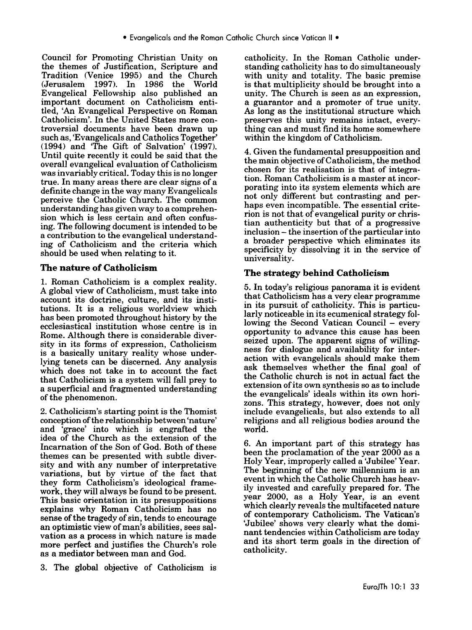Council for Promoting Christian Unity on the themes of Justification, Scripture and Tradition (Venice 1995) and the Church (Jerusalem 1997). In 1986 the World Evangelical Fellowship also published an important document on Catholicism entitled, 'An Evangelical Perspective on Roman Catholicism'. In the United States more controversial documents have been drawn up such as, 'Evangelicals and Catholics Together' (1994) and 'The Gift of Salvation' (1997). Until quite recently it could be said that the overall evangelical evaluation of Catholicism was invariably critical. Today this is no longer true. In many areas there are clear signs of a definite change in the way many Evangelicals perceive the Catholic Church. The common understanding has given way to a comprehension which is less certain and often confusing. The following document is intended to be a contribution to the evangelical understanding of Catholicism and the criteria which should be used when relating to it.

## **The nature of Catholicism**

1. Roman Catholicism is a complex reality. A global view of Catholicism, must take into account its doctrine, culture, and its institutions. It is a religious worldview which has been promoted throughout history by the ecclesiastical institution whose centre is in Rome. Although there is considerable diversity in its forms of expression, Catholicism is a basically unitary reality whose underlying tenets can be discerned. Any analysis which does not take in to account the fact that Catholicism is a system will fall prey to a superficial and fragmented understanding of the phenomenon.

2. Catholicism's starting point is the Thomist conception of the relationship between 'nature' and 'grace' into which is engrafted the idea of the Church as the extension of the Incarnation of the Son of God. Both of these themes can be presented with subtle diversity and with any number of interpretative variations, but by virtue of the fact that they form Catholicism's ideological framework, they will always be found to be present. This basic orientation in its presuppositions explams why Roman Catholicism has no sense of the tragedy of sin, tends to encourage an optimistic view of man's abilities, sees salvation as a process in which nature is made more perfect and justifies the Church's role as a mediator between man and God.

3. The global objective of Catholicism is

catholicity. In the Roman Catholic understanding catholicity has to do simultaneously with unity and totality. The basic premise is that multiplicity should be brought into a umty. The Church is seen as an expression, a guarantor and a promoter of true unity. As long as the institutional structure which preserves this unity remains intact, everything can and must find its home somewhere within the kingdom of Catholicism.

4. Given the fundamental presupposition and the main objective of Catholicism, the method chosen for its realisation is that of integration. Roman Catholicism is a master at incorporating into its system elements which are not only different but contrasting and perhaps even incompatible. The essential criterion is not that of evangelical purity or christian authenticity but that of a progressive inclusion – the insertion of the particular into a broader perspective which eliminates its specificity by dissolving it in the service of universality.

## **The strategy behind Catholicism**

5. In today's religious panorama it is evident that Catholicism has a very clear programme in its pursuit of catholicity. This is particularly noticeable in its ecumenical strategy following the Second Vatican Council  $-$  every opportunity to advance this cause has been seized upon. The apparent signs of willingness for dialogue and availability for interaction with evangelicals should make them ask themselves whether the fmal goal of the Catholic church is not in actual fact the extension of its own synthesis so as to include the evangelicals' ideals within its own horizons. This strategy, however, does not only include evangelicals, but also extends to all religions and all religious bodies around the world.

6. An important part of this strategy has been the proclamation of the year 2000 as a Holy Year, improperly called a 'Jubilee' Year. The beginning of the new millennium is an event in which the Catholic Church has heavily invested and carefully prepared for. The year 2000, as a Holy Year, is an event which clearly reveals the multifaceted nature of contemporary Catholicism. The Vatican's 'Jubilee' shows very clearly what the dominant tendencies within Catholicism are today and its short term goals in the direction of catholicity.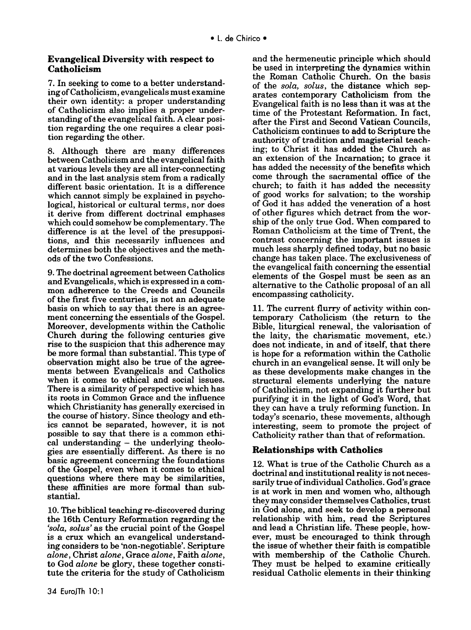#### **Evangelical Diversity with respect to Catholicism**

7. In seeking to come to a better understanding of Catholicism, evangelicals must examine their own identity: a proper understanding of Catholicism also implies a proper understanding of the evangelical faith. A clear position regarding the one requires a clear position regarding the other.

8. Although there are many differences between Catholicism and the evangelical faith at various levels they are all inter-connecting and in the last analysis stem from a radically different basic orientation. It is a difference which cannot simply be explained in psychological, historical or cultural terms, nor does it derive from different doctrinal emphases which could somehow be complementary. The difference is at the level of the presuppositions, and this necessarily influences and determines both the objectives and the methods of the two Confessions.

9. The doctrinal agreement between Catholics and Evangelicals, which is expressed in a common adherence to the Creeds and Councils of the first five centuries, is not an adequate basis on which to say that there is an agreement concerning the essentials of the Gospel. Moreover, developments within the Catholic Church during the following centuries give rise to the suspicion that this adherence may be more formal than substantial. This type of observation might also be true of the agreements between Evangelicals and Catholics when it comes to ethical and social issues. There is a similarity of perspective which has its roots in Common Grace and the influence which Christianity has generally exercised in the course of history. Since theology and ethics cannot be separated, however, it is not possible to say that there is a common ethical understanding - the underlying theologies are essentially different. As there is no basic agreement concerning the foundations of the Gospel, even when it comes to ethical questions where there may be similarities, these affinities are more formal than substantial.

10. The biblical teaching re-discovered during the 16th Century Reformation regarding the *'sola, solus'* as the crucial point of the Gospel is a crux which an evangelical understanding considers to be 'non-negotiable'. Scripture *alone,* Christ *alone,* Grace *alone,* Faith *alone,*  to God *alone* be glory, these together constitute the criteria for the study of Catholicism and the hermeneutic principle which should be used in interpreting the dynamics within the Roman Catholic Church. On the basis of the *sola, solus,* the distance which separates contemporary Catholicism from the Evangelical faith is no less than it was at the time of the Protestant Reformation. In fact, after the First and Second Vatican Councils, Catholicism continues to add to Scripture the authority of tradition and magisterial teaching; to Christ it has added the Church as an extension of the Incarnation; to grace it has added the necessity of the benefits which come through the sacramental office of the church; to faith it has added the necessity of good works for salvation; to the worship of God it has added the veneration of a host of other figures which detract from the worship of the only true God. When compared to Roman Catholicism at the time of Trent, the contrast concerning the important issues is much less sharply defined today, but no basic change has taken place. The exclusiveness of the evangelical faith concerning the essential elements of the Gospel must be seen as an alternative to the Catholic proposal of an all encompassing catholicity.

11. The current flurry of activity within contemporary Catholicism (the return to the Bible, liturgical renewal, the valorisation of the laity, the charismatic movement, etc.) does not indicate, in and of itself, that there is hope for a reformation within the Catholic church in an evangelical sense. It will only be as these developments make changes in the structural elements underlying the nature of Catholicism, not expanding it further but purifying it in the light of God's Word, that they can have a truly reforming function. In today's scenario, these movements, although interesting, seem to promote the project of Catholicity rather than that of reformation.

#### **Relationships with Catholics**

12. What is true of the Catholic Church as a doctrinal and institutional reality is not necessarily true of individual Catholics. God's grace is at work in men and women who, although they may consider themselves Catholics, trust in God alone, and seek to develop a personal relationship with him, read the Scriptures and lead a Christian life. These people, however, must be encouraged to think through the issue of whether their faith is compatible with membership of the Catholic Church. They must be helped to examine critically residual Catholic elements in their thinking